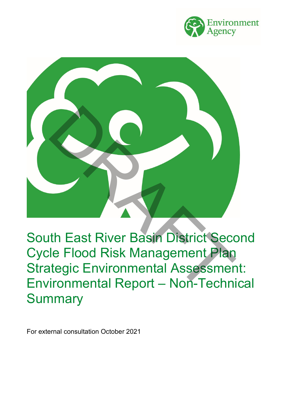



South East River Basin District Second Cycle Flood Risk Management Plan Strategic Environmental Assessment: Environmental Report – Non-Technical **Summary** 

For external consultation October 2021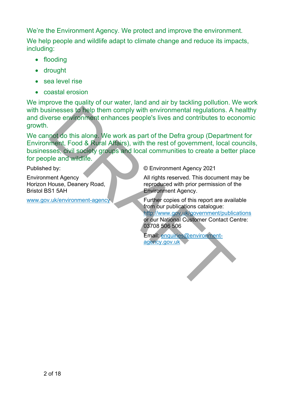We're the Environment Agency. We protect and improve the environment.

We help people and wildlife adapt to climate change and reduce its impacts, including:

- flooding
- drought
- sea level rise
- coastal erosion

We improve the quality of our water, land and air by tackling pollution. We work with businesses to help them comply with environmental regulations. A healthy and diverse environment enhances people's lives and contributes to economic growth.

We cannot do this alone. We work as part of the Defra group (Department for Environment, Food & Rural Affairs), with the rest of government, local councils, businesses, civil society groups and local communities to create a better place for people and wildlife. Sinesses to help them comply with environmental regulations. A larse environment enhances people's lives and contributes to eccentric and the set of the Defra group (Department, Food & [R](http://www.gov.uk/environment-agency)ural Affairs), with the rest of gove

Published by:

Environment Agency Horizon House, Deanery Road, Bristol BS1 5AH

www.gov.uk/environment-agency

© Environment Agency 2021

All rights reserved. This document may be reproduced with prior permission of the Environment Agency.

Further copies of this report are available from our publications catalogue:

http://www.gov.uk/government/publications or our National Customer Contact Centre: 03708 506 506

Email: enquiries@environmentagency.gov.uk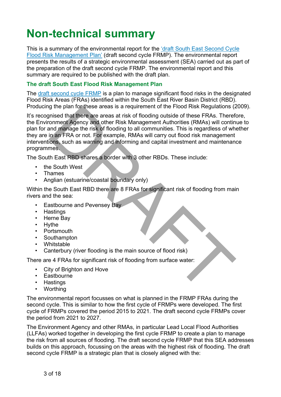# **Non-technical summary**

This is a summary of the environmental report for the ['draft South East Second Cycle](https://eur03.safelinks.protection.outlook.com/?url=https%3A%2F%2Fconsult.environment-agency.gov.uk%2Ffcrm%2Fdraft-second-cycle-flood-risk-management-plans&data=04%7C01%7CStephanie.Baldwin%40environment-agency.gov.uk%7Cc83b91996c1f4023fe1408d98e63162b%7C770a245002274c6290c74e38537f1102%7C0%7C0%7C637697378488303922%7CUnknown%7CTWFpbGZsb3d8eyJWIjoiMC4wLjAwMDAiLCJQIjoiV2luMzIiLCJBTiI6Ik1haWwiLCJXVCI6Mn0%3D%7C1000&sdata=BHhUquDK2oXgHs3ehkFH9KhS5GjkmoKw%2F3q58I1wPTI%3D&reserved=0)  [Flood Risk Management Plan'](https://eur03.safelinks.protection.outlook.com/?url=https%3A%2F%2Fconsult.environment-agency.gov.uk%2Ffcrm%2Fdraft-second-cycle-flood-risk-management-plans&data=04%7C01%7CStephanie.Baldwin%40environment-agency.gov.uk%7Cc83b91996c1f4023fe1408d98e63162b%7C770a245002274c6290c74e38537f1102%7C0%7C0%7C637697378488303922%7CUnknown%7CTWFpbGZsb3d8eyJWIjoiMC4wLjAwMDAiLCJQIjoiV2luMzIiLCJBTiI6Ik1haWwiLCJXVCI6Mn0%3D%7C1000&sdata=BHhUquDK2oXgHs3ehkFH9KhS5GjkmoKw%2F3q58I1wPTI%3D&reserved=0) (draft second cycle FRMP). The environmental report presents the results of a strategic environmental assessment (SEA) carried out as part of the preparation of the draft second cycle FRMP. The environmental report and this summary are required to be published with the draft plan.

# **The draft South East Flood Risk Management Plan**

The [draft second cycle FRMP](https://eur03.safelinks.protection.outlook.com/?url=https%3A%2F%2Fconsult.environment-agency.gov.uk%2Ffcrm%2Fdraft-second-cycle-flood-risk-management-plans&data=04%7C01%7CStephanie.Baldwin%40environment-agency.gov.uk%7Cc83b91996c1f4023fe1408d98e63162b%7C770a245002274c6290c74e38537f1102%7C0%7C0%7C637697378488303922%7CUnknown%7CTWFpbGZsb3d8eyJWIjoiMC4wLjAwMDAiLCJQIjoiV2luMzIiLCJBTiI6Ik1haWwiLCJXVCI6Mn0%3D%7C1000&sdata=BHhUquDK2oXgHs3ehkFH9KhS5GjkmoKw%2F3q58I1wPTI%3D&reserved=0) is a plan to manage significant flood risks in the designated Flood Risk Areas (FRAs) identified within the South East River Basin District (RBD). Producing the plan for these areas is a requirement of the Flood Risk Regulations (2009).

It's recognised that there are areas at risk of flooding outside of these FRAs. Therefore, the Environment Agency and other Risk Management Authorities (RMAs) will continue to plan for and manage the risk of flooding to all communities. This is regardless of whether they are in an FRA or not. For example, RMAs will carry out flood risk management interventions, such as warning and informing and capital investment and maintenance programmes. g the plan for these areas is a requirement of the Flood Nisk Regulations (a<br>pinted that there are areas at itsk of flooding outside of these FRAs. Therefore,<br>comment Agency and other Risk Management Authorities (RMAs) wil

The South East RBD shares a border with 3 other RBDs. These include:

- the South West
- Thames
- Anglian (estuarine/coastal boundary only)

Within the South East RBD there are 8 FRAs for significant risk of flooding from main rivers and the sea:

- Eastbourne and Pevensey Bay
- Hastings
- Herne Bay
- Hythe
- Portsmouth
- Southampton
- Whitstable
- Canterbury (river flooding is the main source of flood risk)

There are 4 FRAs for significant risk of flooding from surface water:

- City of Brighton and Hove
- Eastbourne
- Hastings
- Worthing

The environmental report focusses on what is planned in the FRMP FRAs during the second cycle. This is similar to how the first cycle of FRMPs were developed. The first cycle of FRMPs covered the period 2015 to 2021. The draft second cycle FRMPs cover the period from 2021 to 2027.

The Environment Agency and other RMAs, in particular Lead Local Flood Authorities (LLFAs) worked together in developing the first cycle FRMP to create a plan to manage the risk from all sources of flooding. The draft second cycle FRMP that this SEA addresses builds on this approach, focussing on the areas with the highest risk of flooding. The draft second cycle FRMP is a strategic plan that is closely aligned with the: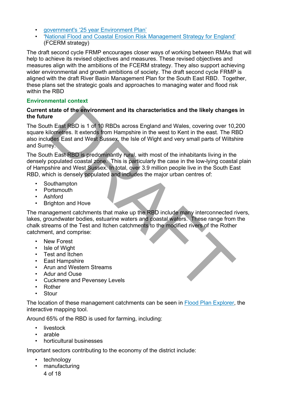- [government's '25 year Environment Plan'](https://www.gov.uk/government/publications/25-year-environment-plan)
- ['National Flood and Coastal Erosion Risk Management Strategy for England'](https://www.gov.uk/government/publications/national-flood-and-coastal-erosion-risk-management-strategy-for-england--2) (FCERM strategy)

The draft second cycle FRMP encourages closer ways of working between RMAs that will help to achieve its revised objectives and measures. These revised objectives and measures align with the ambitions of the FCERM strategy. They also support achieving wider environmental and growth ambitions of society. The draft second cycle FRMP is aligned with the draft River Basin Management Plan for the South East RBD. Together, these plans set the strategic goals and approaches to managing water and flood risk within the RBD

# **Environmental context**

#### **Current state of the environment and its characteristics and the likely changes in the future**

The South East RBD is 1 of 10 RBDs across England and Wales, covering over 10,200 square kilometres. It extends from Hampshire in the west to Kent in the east. The RBD also includes East and West Sussex, the Isle of Wight and very small parts of Wiltshire and Surrey. state of the environment and its characteristics and the likely changes<br>
The<br>
Hast RBD is 1 of 10 RBDs across England and Wales, covering over 10,<br>
illometres. It extends from Hampshire in the west to Kent in the east. The

The South East RBD is predominantly rural, with most of the inhabitants living in the densely populated coastal zone. This is particularly the case in the low-lying coastal plain of Hampshire and West Sussex. In total, over 3.9 million people live in the South East RBD, which is densely populated and includes the major urban centres of:

- Southampton
- Portsmouth
- Ashford
- Brighton and Hove

The management catchments that make up the RBD include many interconnected rivers, lakes, groundwater bodies, estuarine waters and coastal waters. These range from the chalk streams of the Test and Itchen catchments to the modified rivers of the Rother catchment, and comprise:

- New Forest
- Isle of Wight
- Test and Itchen
- East Hampshire
- Arun and Western Streams
- Adur and Ouse
- Cuckmere and Pevensey Levels
- Rother
- Stour

The location of these management catchments can be seen in [Flood Plan Explorer,](https://eur03.safelinks.protection.outlook.com/?url=https%3A%2F%2Fenvironment.data.gov.uk%2Fflood-planning%2Fexplorer%2Fcycle-2&data=04%7C01%7CStephanie.Baldwin%40environment-agency.gov.uk%7Ce877ff07f0324480ec8c08d98ca896ff%7C770a245002274c6290c74e38537f1102%7C0%7C0%7C637695477973808004%7CUnknown%7CTWFpbGZsb3d8eyJWIjoiMC4wLjAwMDAiLCJQIjoiV2luMzIiLCJBTiI6Ik1haWwiLCJXVCI6Mn0%3D%7C1000&sdata=PO%2FxWV18lbYZ%2FS54Fc%2B6oj3WD2Dd5N4AqPALQtT1s5M%3D&reserved=0) the interactive mapping tool.

Around 65% of the RBD is used for farming, including:

- livestock
- arable
- horticultural businesses

Important sectors contributing to the economy of the district include:

- technology
- 4 of 18 • manufacturing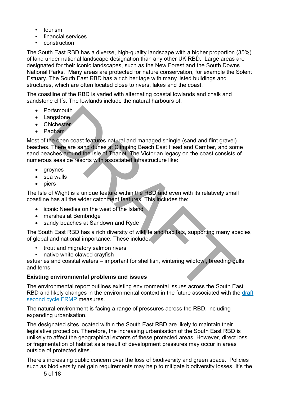- tourism
- financial services
- construction

The South East RBD has a diverse, high-quality landscape with a higher proportion (35%) of land under national landscape designation than any other UK RBD. Large areas are designated for their iconic landscapes, such as the New Forest and the South Downs National Parks. Many areas are protected for nature conservation, for example the Solent Estuary. The South East RBD has a rich heritage with many listed buildings and structures, which are often located close to rivers, lakes and the coast.

The coastline of the RBD is varied with alternating coastal lowlands and chalk and sandstone cliffs. The lowlands include the natural harbours of:

- Portsmouth
- Langstone
- Chichester
- Pagham

Most of the open coast features natural and managed shingle (sand and flint gravel) beaches. There are sand dunes at Climping Beach East Head and Camber, and some sand beaches around the Isle of Thanet. The Victorian legacy on the coast consists of numerous seaside resorts with associated infrastructure like: ortsmouth<br>
ingistone<br>
includes the open coast features natural and managed shingle (sand and flint gravel)<br>
There are sand dunes at Climping Beach East Head and Camber, and so<br>
is seaside resorts with associated infrastruc

- groynes
- sea walls
- piers

The Isle of Wight is a unique feature within the RBD and even with its relatively small coastline has all the wider catchment features. This includes the:

- iconic Needles on the west of the Island
- marshes at Bembridge
- sandy beaches at Sandown and Ryde

The South East RBD has a rich diversity of wildlife and habitats, supporting many species of global and national importance. These include:

- trout and migratory salmon rivers
- native white clawed crayfish

estuaries and coastal waters – important for shellfish, wintering wildfowl, breeding gulls and terns

# **Existing environmental problems and issues**

The environmental report outlines existing environmental issues across the South East RBD and likely changes in the environmental context in the future associated with the [draft](https://eur03.safelinks.protection.outlook.com/?url=https%3A%2F%2Fconsult.environment-agency.gov.uk%2Ffcrm%2Fdraft-second-cycle-flood-risk-management-plans&data=04%7C01%7CStephanie.Baldwin%40environment-agency.gov.uk%7Cc83b91996c1f4023fe1408d98e63162b%7C770a245002274c6290c74e38537f1102%7C0%7C0%7C637697378488303922%7CUnknown%7CTWFpbGZsb3d8eyJWIjoiMC4wLjAwMDAiLCJQIjoiV2luMzIiLCJBTiI6Ik1haWwiLCJXVCI6Mn0%3D%7C1000&sdata=BHhUquDK2oXgHs3ehkFH9KhS5GjkmoKw%2F3q58I1wPTI%3D&reserved=0)  [second cycle FRMP](https://eur03.safelinks.protection.outlook.com/?url=https%3A%2F%2Fconsult.environment-agency.gov.uk%2Ffcrm%2Fdraft-second-cycle-flood-risk-management-plans&data=04%7C01%7CStephanie.Baldwin%40environment-agency.gov.uk%7Cc83b91996c1f4023fe1408d98e63162b%7C770a245002274c6290c74e38537f1102%7C0%7C0%7C637697378488303922%7CUnknown%7CTWFpbGZsb3d8eyJWIjoiMC4wLjAwMDAiLCJQIjoiV2luMzIiLCJBTiI6Ik1haWwiLCJXVCI6Mn0%3D%7C1000&sdata=BHhUquDK2oXgHs3ehkFH9KhS5GjkmoKw%2F3q58I1wPTI%3D&reserved=0) measures.

The natural environment is facing a range of pressures across the RBD, including expanding urbanisation.

The designated sites located within the South East RBD are likely to maintain their legislative protection. Therefore, the increasing urbanisation of the South East RBD is unlikely to affect the geographical extents of these protected areas. However, direct loss or fragmentation of habitat as a result of development pressures may occur in areas outside of protected sites.

There's increasing public concern over the loss of biodiversity and green space. Policies such as biodiversity net gain requirements may help to mitigate biodiversity losses. It's the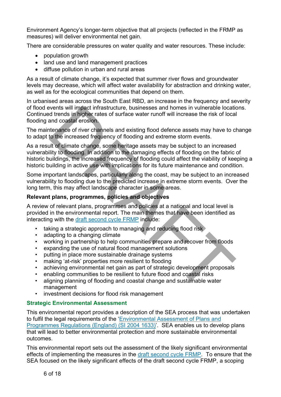Environment Agency's longer-term objective that all projects (reflected in the FRMP as measures) will deliver environmental net gain.

There are considerable pressures on water quality and water resources. These include:

- population growth
- land use and land management practices
- diffuse pollution in urban and rural areas

As a result of climate change, it's expected that summer river flows and groundwater levels may decrease, which will affect water availability for abstraction and drinking water, as well as for the ecological communities that depend on them.

In urbanised areas across the South East RBD, an increase in the frequency and severity of flood events will impact infrastructure, businesses and homes in vulnerable locations. Continued trends in higher rates of surface water runoff will increase the risk of local flooding and coastal erosion.

The maintenance of river channels and existing flood defence assets may have to change to adapt to the increased frequency of flooding and extreme storm events.

As a result of climate change, some heritage assets may be subject to an increased vulnerability to flooding. In addition to the damaging effects of flooding on the fabric of historic buildings, the increased frequency of flooding could affect the viability of keeping a historic building in active use with implications for its future maintenance and condition. ivents will impact infrastructure, businesses and homes in vulnerable location<br>of trends in higher rates of surface water runoff will increase the risk of local<br>and coastal erosion.<br>tenance of river channels and existing f

Some important landscapes, particularly along the coast, may be subject to an increased vulnerability to flooding due to the predicted increase in extreme storm events. Over the long term, this may affect landscape character in some areas.

# **Relevant plans, programmes, policies and objectives**

A review of relevant plans, programmes and policies at a national and local level is provided in the environmental report. The main themes that have been identified as interacting with the draft second cycle FRMP include:

- taking a strategic approach to managing and reducing flood risk
- adapting to a changing climate
- working in partnership to help communities prepare and recover from floods
- expanding the use of natural flood management solutions
- putting in place more sustainable drainage systems
- making 'at-risk' properties more resilient to flooding
- achieving environmental net gain as part of strategic development proposals
- enabling communities to be resilient to future flood and coastal risks
- aligning planning of flooding and coastal change and sustainable water management
- investment decisions for flood risk management

# **Strategic Environmental Assessment**

This environmental report provides a description of the SEA process that was undertaken to fulfil the legal requirements of the ['Environmental Assessment of Plans and](https://www.legislation.gov.uk/uksi/2004/1633/part/1/made/data.htm?wrap=true)  [Programmes Regulations \(England\) \(SI 2004 1633\)'](https://www.legislation.gov.uk/uksi/2004/1633/part/1/made/data.htm?wrap=true). SEA enables us to develop plans that will lead to better environmental protection and more sustainable environmental outcomes.

This environmental report sets out the assessment of the likely significant environmental effects of implementing the measures in the [draft second cycle FRMP.](https://eur03.safelinks.protection.outlook.com/?url=https%3A%2F%2Fconsult.environment-agency.gov.uk%2Ffcrm%2Fdraft-second-cycle-flood-risk-management-plans&data=04%7C01%7CStephanie.Baldwin%40environment-agency.gov.uk%7Cc83b91996c1f4023fe1408d98e63162b%7C770a245002274c6290c74e38537f1102%7C0%7C0%7C637697378488303922%7CUnknown%7CTWFpbGZsb3d8eyJWIjoiMC4wLjAwMDAiLCJQIjoiV2luMzIiLCJBTiI6Ik1haWwiLCJXVCI6Mn0%3D%7C1000&sdata=BHhUquDK2oXgHs3ehkFH9KhS5GjkmoKw%2F3q58I1wPTI%3D&reserved=0) To ensure that the SEA focused on the likely significant effects of the draft second cycle FRMP, a scoping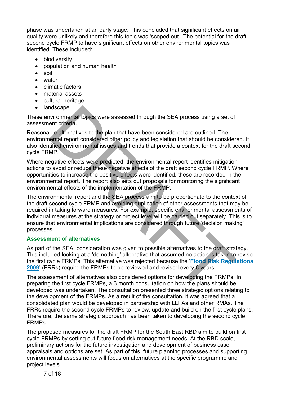phase was undertaken at an early stage. This concluded that significant effects on air quality were unlikely and therefore this topic was 'scoped out.' The potential for the draft second cycle FRMP to have significant effects on other environmental topics was identified. These included:

- **biodiversity**
- population and human health
- soil
- water
- climatic factors
- material assets
- cultural heritage
- landscape

These environmental topics were assessed through the SEA process using a set of assessment criteria.

Reasonable alternatives to the plan that have been considered are outlined. The environmental report considered other policy and legislation that should be considered. It also identified environmental issues and trends that provide a context for the draft second cycle FRMP.

Where negative effects were predicted, the environmental report identifies mitigation actions to avoid or reduce these negative effects of the draft second cycle FRMP. Where opportunities to increase the positive effects were identified, these are recorded in the environmental report. The report also sets out proposals for monitoring the significant environmental effects of the implementation of the FRMP.

The environmental report and the SEA process aim to be proportionate to the context of the draft second cycle FRMP and avoiding duplication of other assessments that may be required in taking forward measures. For example, specific environmental assessments of individual measures at the strategy or project level will be carried out separately. This is to ensure that environmental implications are considered through future 'decision making' processes. more and topics were assessed through the SEA process using a set of<br>wind commental topics were assessed through the SEA process using a set of<br>entrained and the plane that have been considered are outlined. The<br>entrained

# **Assessment of alternatives**

As part of the SEA, consideration was given to possible alternatives to the draft strategy. This included looking at a 'do nothing' alternative that assumed no action is taken to revise the first cycle FRMPs. This alternative was rejected because the '**[Flood Risk Regulations](https://www.legislation.gov.uk/uksi/2009/3042/contents)  [2009](https://www.legislation.gov.uk/uksi/2009/3042/contents)**' (FRRs) require the FRMPs to be reviewed and revised every 6 years.

The assessment of alternatives also considered options for developing the FRMPs. In preparing the first cycle FRMPs, a 3 month consultation on how the plans should be developed was undertaken. The consultation presented three strategic options relating to the development of the FRMPs. As a result of the consultation, it was agreed that a consolidated plan would be developed in partnership with LLFAs and other RMAs. The FRRs require the second cycle FRMPs to review, update and build on the first cycle plans. Therefore, the same strategic approach has been taken to developing the second cycle FRMPs.

The proposed measures for the draft FRMP for the South East RBD aim to build on first cycle FRMPs by setting out future flood risk management needs. At the RBD scale, preliminary actions for the future investigation and development of business case appraisals and options are set. As part of this, future planning processes and supporting environmental assessments will focus on alternatives at the specific programme and project levels.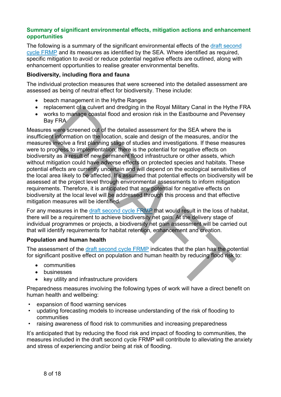#### **Summary of significant environmental effects, mitigation actions and enhancement opportunities**

The following is a summary of the significant environmental effects of the draft second [cycle FRMP](https://eur03.safelinks.protection.outlook.com/?url=https%3A%2F%2Fconsult.environment-agency.gov.uk%2Ffcrm%2Fdraft-second-cycle-flood-risk-management-plans&data=04%7C01%7CStephanie.Baldwin%40environment-agency.gov.uk%7Cc83b91996c1f4023fe1408d98e63162b%7C770a245002274c6290c74e38537f1102%7C0%7C0%7C637697378488303922%7CUnknown%7CTWFpbGZsb3d8eyJWIjoiMC4wLjAwMDAiLCJQIjoiV2luMzIiLCJBTiI6Ik1haWwiLCJXVCI6Mn0%3D%7C1000&sdata=BHhUquDK2oXgHs3ehkFH9KhS5GjkmoKw%2F3q58I1wPTI%3D&reserved=0) and its measures as identified by the SEA. Where identified as required, specific mitigation to avoid or reduce potential negative effects are outlined, along with enhancement opportunities to realise greater environmental benefits.

#### **Biodiversity, including flora and fauna**

The individual protection measures that were screened into the detailed assessment are assessed as being of neutral effect for biodiversity. These include:

- beach management in the Hythe Ranges
- replacement of a culvert and dredging in the Royal Military Canal in the Hythe FRA
- works to manage coastal flood and erosion risk in the Eastbourne and Pevensey Bay FRA

Measures were screened out of the detailed assessment for the SEA where the is insufficient information on the location, scale and design of the measures, and/or the measures involve a first planning stage of studies and investigations. If these measures were to progress to implementation, there is the potential for negative effects on biodiversity as a result of new permanent flood infrastructure or other assets, which without mitigation could have adverse effects on protected species and habitats. These potential effects are currently uncertain and will depend on the ecological sensitivities of the local area likely to be affected. It's assumed that potential effects on biodiversity will be assessed at the project level through environmental assessments to inform mitigation requirements. Therefore, it is anticipated that any potential for negative effects on biodiversity at the local level will be addressed through this process and that effective mitigation measures will be identified. placement of a culvert and dredging in the Royal Military Canal in the Hytherts to manage coastal flood and erosion risk in the Eastbourne and Peven<br>ay FRA<br>sy FRA<br>sy FRA<br>sy FRA<br>sy FRA<br>sy FRA<br>sy FRA<br>sy FRA<br>sy FRA<br>sy FRA<br>sy

For any measures in the draft second cycle FRMP that would result in the loss of habitat, there will be a requirement to achieve biodiversity net gain. At the delivery stage of individual programmes or projects, a biodiversity net gain assessment will be carried out that will identify requirements for habitat retention, enhancement and creation.

#### **Population and human health**

The assessment of the draft second cycle FRMP indicates that the plan has the potential for significant positive effect on population and human health by reducing flood risk to:

- communities
- businesses
- key utility and infrastructure providers

Preparedness measures involving the following types of work will have a direct benefit on human health and wellbeing:

- expansion of flood warning services
- updating forecasting models to increase understanding of the risk of flooding to communities
- raising awareness of flood risk to communities and increasing preparedness

It's anticipated that by reducing the flood risk and impact of flooding to communities, the measures included in the draft second cycle FRMP will contribute to alleviating the anxiety and stress of experiencing and/or being at risk of flooding.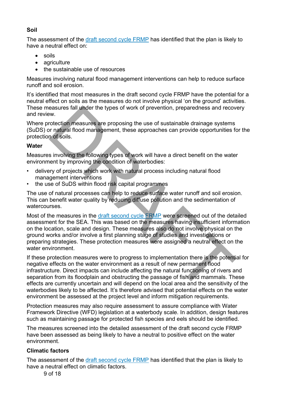# **Soil**

The assessment of the [draft second cycle](https://eur03.safelinks.protection.outlook.com/?url=https%3A%2F%2Fconsult.environment-agency.gov.uk%2Ffcrm%2Fdraft-second-cycle-flood-risk-management-plans&data=04%7C01%7CStephanie.Baldwin%40environment-agency.gov.uk%7Cc83b91996c1f4023fe1408d98e63162b%7C770a245002274c6290c74e38537f1102%7C0%7C0%7C637697378488303922%7CUnknown%7CTWFpbGZsb3d8eyJWIjoiMC4wLjAwMDAiLCJQIjoiV2luMzIiLCJBTiI6Ik1haWwiLCJXVCI6Mn0%3D%7C1000&sdata=BHhUquDK2oXgHs3ehkFH9KhS5GjkmoKw%2F3q58I1wPTI%3D&reserved=0) FRMP has identified that the plan is likely to have a neutral effect on:

- soils
- agriculture
- the sustainable use of resources

Measures involving natural flood management interventions can help to reduce surface runoff and soil erosion.

It's identified that most measures in the draft second cycle FRMP have the potential for a neutral effect on soils as the measures do not involve physical 'on the ground' activities. These measures fall under the types of work of prevention, preparedness and recovery and review.

Where protection measures are proposing the use of sustainable drainage systems (SuDS) or natural flood management, these approaches can provide opportunities for the protection of soils.

# **Water**

Measures involving the following types of work will have a direct benefit on the water environment by improving the condition of waterbodies:

- delivery of projects which work with natural process including natural flood management interventions
- the use of SuDS within flood risk capital programmes

The use of natural processes can help to reduce surface water runoff and soil erosion. This can benefit water quality by reducing diffuse pollution and the sedimentation of watercourses.

Most of the measures in the draft second cycle FRMP were screened out of the detailed assessment for the SEA. This was based on the measures having insufficient information on the location, scale and design. These measures also do not involve physical on the ground works and/or involve a first planning stage of studies and investigations or preparing strategies. These protection measures were assigned a neutral effect on the water environment. www.<br>Exerces fall under the types of work of prevention, preparedness and recov<br>ordection measures are proposing the use of sustainable drainage systems<br>ordection measures are proposing the use of sustainable drainage syst

If these protection measures were to progress to implementation there is the potential for negative effects on the water environment as a result of new permanent flood infrastructure. Direct impacts can include affecting the natural functioning of rivers and separation from its floodplain and obstructing the passage of fish and mammals. These effects are currently uncertain and will depend on the local area and the sensitivity of the waterbodies likely to be affected. It's therefore advised that potential effects on the water environment be assessed at the project level and inform mitigation requirements.

Protection measures may also require assessment to assure compliance with Water Framework Directive (WFD) legislation at a waterbody scale. In addition, design features such as maintaining passage for protected fish species and eels should be identified.

The measures screened into the detailed assessment of the draft second cycle FRMP have been assessed as being likely to have a neutral to positive effect on the water environment.

# **Climatic factors**

The assessment of the [draft second cycle FRMP](https://eur03.safelinks.protection.outlook.com/?url=https%3A%2F%2Fconsult.environment-agency.gov.uk%2Ffcrm%2Fdraft-second-cycle-flood-risk-management-plans&data=04%7C01%7CStephanie.Baldwin%40environment-agency.gov.uk%7Cc83b91996c1f4023fe1408d98e63162b%7C770a245002274c6290c74e38537f1102%7C0%7C0%7C637697378488303922%7CUnknown%7CTWFpbGZsb3d8eyJWIjoiMC4wLjAwMDAiLCJQIjoiV2luMzIiLCJBTiI6Ik1haWwiLCJXVCI6Mn0%3D%7C1000&sdata=BHhUquDK2oXgHs3ehkFH9KhS5GjkmoKw%2F3q58I1wPTI%3D&reserved=0) has identified that the plan is likely to have a neutral effect on climatic factors.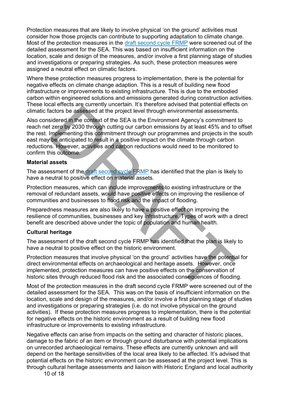Protection measures that are likely to involve physical 'on the ground' activities must consider how those projects can contribute to supporting adaptation to climate change. Most of the protection measures in the [draft second cycle FRMP](https://eur03.safelinks.protection.outlook.com/?url=https%3A%2F%2Fconsult.environment-agency.gov.uk%2Ffcrm%2Fdraft-second-cycle-flood-risk-management-plans&data=04%7C01%7CStephanie.Baldwin%40environment-agency.gov.uk%7Cc83b91996c1f4023fe1408d98e63162b%7C770a245002274c6290c74e38537f1102%7C0%7C0%7C637697378488303922%7CUnknown%7CTWFpbGZsb3d8eyJWIjoiMC4wLjAwMDAiLCJQIjoiV2luMzIiLCJBTiI6Ik1haWwiLCJXVCI6Mn0%3D%7C1000&sdata=BHhUquDK2oXgHs3ehkFH9KhS5GjkmoKw%2F3q58I1wPTI%3D&reserved=0) were screened out of the detailed assessment for the SEA. This was based on insufficient information on the location, scale and design of the measures, and/or involve a first planning stage of studies and investigations or preparing strategies. As such, these protection measures were assigned a neutral effect on climatic factors.

Where these protection measures progress to implementation, there is the potential for negative effects on climate change adaption. This is a result of building new flood infrastructure or improvements to existing infrastructure. This is due to the embodied carbon within engineered solutions and emissions generated during construction activities. These local effects are currently uncertain. It's therefore advised that potential effects on climatic factors be assessed at the project level through environmental assessments.

Also considered in the context of the SEA is the Environment Agency's commitment to reach net zero by 2030 through cutting our carbon emissions by at least 45% and to offset the rest. Implementing this commitment through our programmes and projects in the south east may be anticipated to result in a positive impact on the climate through carbon reductions. However, activities and carbon reductions would need to be monitored to confirm this outcome. backware and control entergy theorem. The successor and perception and concess the project level through environmental assessments<br>is dered in the context of the SEA is the Environment Agency's commitment<br>is zero by 2030 t

#### **Material assets**

The assessment of the draft second cycle FRMP has identified that the plan is likely to have a neutral to positive effect on material assets.

Protection measures, which can include improvements to existing infrastructure or the removal of redundant assets, would have positive effects on improving the resilience of communities and businesses to flood risk and the impact of flooding.

Preparedness measures are also likely to have a positive effect on improving the resilience of communities, businesses and key infrastructure. Types of work with a direct benefit are described above under the topic of population and human health.

#### **Cultural heritage**

The assessment of the draft second cycle FRMP has identified that the plan is likely to have a neutral to positive effect on the historic environment.

Protection measures that involve physical 'on the ground' activities have the potential for direct environmental effects on archaeological and heritage assets. However, once implemented, protection measures can have positive effects on the conservation of historic sites through reduced flood risk and the associated consequences of flooding.

Most of the protection measures in the draft second cycle FRMP were screened out of the detailed assessment for the SEA. This was on the basis of insufficient information on the location, scale and design of the measures, and/or involve a first planning stage of studies and investigations or preparing strategies (i.e. do not involve physical on the ground activities). If these protection measures progress to implementation, there is the potential for negative effects on the historic environment as a result of building new flood infrastructure or improvements to existing infrastructure.

Negative effects can arise from impacts on the setting and character of historic places, damage to the fabric of an item or through ground disturbance with potential implications on unrecorded archaeological remains. These effects are currently unknown and will depend on the heritage sensitivities of the local area likely to be affected. It's advised that potential effects on the historic environment can be assessed at the project level. This is through cultural heritage assessments and liaison with Historic England and local authority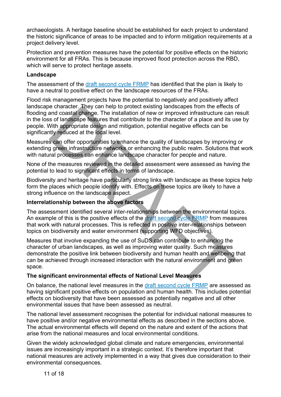archaeologists. A heritage baseline should be established for each project to understand the historic significance of areas to be impacted and to inform mitigation requirements at a project delivery level.

Protection and prevention measures have the potential for positive effects on the historic environment for all FRAs. This is because improved flood protection across the RBD, which will serve to protect heritage assets.

#### **Landscape**

The assessment of the [draft second cycle FRMP](https://eur03.safelinks.protection.outlook.com/?url=https%3A%2F%2Fconsult.environment-agency.gov.uk%2Ffcrm%2Fdraft-second-cycle-flood-risk-management-plans&data=04%7C01%7CStephanie.Baldwin%40environment-agency.gov.uk%7Cc83b91996c1f4023fe1408d98e63162b%7C770a245002274c6290c74e38537f1102%7C0%7C0%7C637697378488303922%7CUnknown%7CTWFpbGZsb3d8eyJWIjoiMC4wLjAwMDAiLCJQIjoiV2luMzIiLCJBTiI6Ik1haWwiLCJXVCI6Mn0%3D%7C1000&sdata=BHhUquDK2oXgHs3ehkFH9KhS5GjkmoKw%2F3q58I1wPTI%3D&reserved=0) has identified that the plan is likely to have a neutral to positive effect on the landscape resources of the FRAs.

Flood risk management projects have the potential to negatively and positively affect landscape character. They can help to protect existing landscapes from the effects of flooding and coastal change. The installation of new or improved infrastructure can result in the loss of landscape features that contribute to the character of a place and its use by people. With appropriate design and mitigation, potential negative effects can be significantly reduced at the local level.

Measures can offer opportunities to enhance the quality of landscapes by improving or extending green infrastructure networks or enhancing the public realm. Solutions that work with natural processes can enhance landscape character for people and nature.

None of the measures reviewed in the detailed assessment were assessed as having the potential to lead to significant effects in terms of landscape.

Biodiversity and heritage have particularly strong links with landscape as these topics help form the places which people identify with. Effects on these topics are likely to have a strong influence on the landscape aspect.

# **Interrelationship between the above factors**

The assessment identified several inter-relationships between the environmental topics. An example of this is the positive effects of the draft second cycle FRMP from measures that work with natural processes. This is reflected in positive inter-relationships between topics on biodiversity and water environment (supporting WFD objectives).

Measures that involve expanding the use of SuDS can contribute to enhancing the character of urban landscapes, as well as improving water quality. Such measures demonstrate the positive link between biodiversity and human health and wellbeing that can be achieved through increased interaction with the natural environment and green space. e character, hey can help to protect existing landscapes from the effects of which and coastal change. The installation of new or improved infrastructure can net and the character of a place and its used to fandscape featu

# **The significant environmental effects of National Level Measures**

On balance, the national level measures in the draft second cycle FRMP are assessed as having significant positive effects on population and human health. This includes potential effects on biodiversity that have been assessed as potentially negative and all other environmental issues that have been assessed as neutral.

The national level assessment recognises the potential for individual national measures to have positive and/or negative environmental effects as described in the sections above. The actual environmental effects will depend on the nature and extent of the actions that arise from the national measures and local environmental conditions.

Given the widely acknowledged global climate and nature emergencies, environmental issues are increasingly important in a strategic context. It's therefore important that national measures are actively implemented in a way that gives due consideration to their environmental consequences.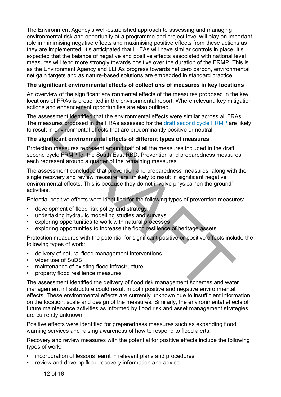The Environment Agency's well-established approach to assessing and managing environmental risk and opportunity at a programme and project level will play an important role in minimising negative effects and maximising positive effects from these actions as they are implemented. It's anticipated that LLFAs will have similar controls in place. It's expected that the balance of negative and positive effects associated with national level measures will tend more strongly towards positive over the duration of the FRMP. This is as the Environment Agency and LLFAs progress towards net zero carbon, environmental net gain targets and as nature-based solutions are embedded in standard practice.

# **The significant environmental effects of collections of measures in key locations**

An overview of the significant environmental effects of the measures proposed in the key locations of FRAs is presented in the environmental report. Where relevant, key mitigation actions and enhancement opportunities are also outlined.

The assessment identified that the environmental effects were similar across all FRAs. The measures proposed in the FRAs assessed for the draft second cycle FRMP are likely to result in environmental effects that are predominantly positive or neutral.

# **The significant environmental effects of different types of measures**

Protection measures represent around half of all the measures included in the draft second cycle FRMP for the South East RBD. Prevention and preparedness measures each represent around a quarter of the remaining measures.

The assessment concluded that prevention and preparedness measures, along with the single recovery and review measure, are unlikely to result in significant negative environmental effects. This is because they do not involve physical 'on the ground' activities. and enhancement opportunities are also outlined.<br>
Sures sment identified that the environmental effects were similar across all FR<br>
sures proposed in the FRAs assessed for the draft second cycle FRMP are<br>
in environmental

Potential positive effects were identified for the following types of prevention measures:

- development of flood risk policy and strategy
- undertaking hydraulic modelling studies and surveys
- exploring opportunities to work with natural processes
- exploring opportunities to increase the flood resilience of heritage assets

Protection measures with the potential for significant positive or positive effects include the following types of work:

- delivery of natural flood management interventions
- wider use of SuDS
- maintenance of existing flood infrastructure
- property flood resilience measures

The assessment identified the delivery of flood risk management schemes and water management infrastructure could result in both positive and negative environmental effects. These environmental effects are currently unknown due to insufficient information on the location, scale and design of the measures. Similarly, the environmental effects of future maintenance activities as informed by flood risk and asset management strategies are currently unknown.

Positive effects were identified for preparedness measures such as expanding flood warning services and raising awareness of how to respond to flood alerts.

Recovery and review measures with the potential for positive effects include the following types of work:

- incorporation of lessons learnt in relevant plans and procedures
- review and develop flood recovery information and advice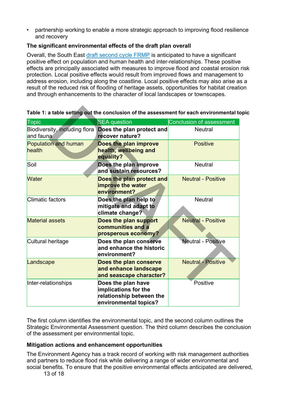• partnership working to enable a more strategic approach to improving flood resilience and recovery

# **The significant environmental effects of the draft plan overall**

Overall, the South East [draft second cycle FRMP](https://eur03.safelinks.protection.outlook.com/?url=https%3A%2F%2Fconsult.environment-agency.gov.uk%2Ffcrm%2Fdraft-second-cycle-flood-risk-management-plans&data=04%7C01%7CStephanie.Baldwin%40environment-agency.gov.uk%7Cc83b91996c1f4023fe1408d98e63162b%7C770a245002274c6290c74e38537f1102%7C0%7C0%7C637697378488303922%7CUnknown%7CTWFpbGZsb3d8eyJWIjoiMC4wLjAwMDAiLCJQIjoiV2luMzIiLCJBTiI6Ik1haWwiLCJXVCI6Mn0%3D%7C1000&sdata=BHhUquDK2oXgHs3ehkFH9KhS5GjkmoKw%2F3q58I1wPTI%3D&reserved=0) is anticipated to have a significant positive effect on population and human health and inter-relationships. These positive effects are principally associated with measures to improve flood and coastal erosion risk protection. Local positive effects would result from improved flows and management to address erosion, including along the coastline. Local positive effects may also arise as a result of the reduced risk of flooding of heritage assets, opportunities for habitat creation and through enhancements to the character of local landscapes or townscapes.

| Table 1: a table setting out the conclusion of the assessment for each environmental to |                                                                                                 |                                 |
|-----------------------------------------------------------------------------------------|-------------------------------------------------------------------------------------------------|---------------------------------|
| <b>Topic</b>                                                                            | <b>SEA</b> question                                                                             | <b>Conclusion of assessment</b> |
| Biodiversity, including flora<br>and fauna                                              | Does the plan protect and<br>recover nature?                                                    | <b>Neutral</b>                  |
| <b>Population and human</b><br>health                                                   | Does the plan improve<br>health, wellbeing and<br>equality?                                     | <b>Positive</b>                 |
| Soil                                                                                    | Does the plan improve<br>and sustain resources?                                                 | <b>Neutral</b>                  |
| <b>Water</b>                                                                            | Does the plan protect and<br>improve the water<br>environment?                                  | <b>Neutral - Positive</b>       |
| <b>Climatic factors</b>                                                                 | Does the plan help to<br>mitigate and adapt to<br>climate change?                               | <b>Neutral</b>                  |
| <b>Material assets</b>                                                                  | Does the plan support<br>communities and a<br>prosperous economy?                               | <b>Neutral - Positive</b>       |
| Cultural heritage                                                                       | Does the plan conserve<br>and enhance the historic<br>environment?                              | <b>Neutral - Positive</b>       |
| Landscape                                                                               | Does the plan conserve<br>and enhance landscape<br>and seascape character?                      | <b>Neutral - Positive</b>       |
| Inter-relationships                                                                     | Does the plan have<br>implications for the<br>relationship between the<br>environmental topics? | Positive                        |

# **Table 1: a table setting out the conclusion of the assessment for each environmental topic**

The first column identifies the environmental topic, and the second column outlines the Strategic Environmental Assessment question. The third column describes the conclusion of the assessment per environmental topic.

# **Mitigation actions and enhancement opportunities**

The Environment Agency has a track record of working with risk management authorities and partners to reduce flood risk while delivering a range of wider environmental and social benefits. To ensure that the positive environmental effects anticipated are delivered,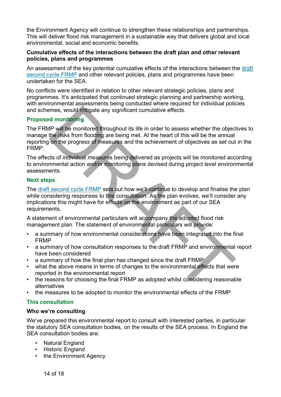the Environment Agency will continue to strengthen these relationships and partnerships. This will deliver flood risk management in a sustainable way that delivers global and local environmental, social and economic benefits.

#### **Cumulative effects of the interactions between the draft plan and other relevant policies, plans and programmes**

An assessment of the key potential cumulative effects of the interactions between the [draft](https://eur03.safelinks.protection.outlook.com/?url=https%3A%2F%2Fconsult.environment-agency.gov.uk%2Ffcrm%2Fdraft-second-cycle-flood-risk-management-plans&data=04%7C01%7CStephanie.Baldwin%40environment-agency.gov.uk%7Cc83b91996c1f4023fe1408d98e63162b%7C770a245002274c6290c74e38537f1102%7C0%7C0%7C637697378488303922%7CUnknown%7CTWFpbGZsb3d8eyJWIjoiMC4wLjAwMDAiLCJQIjoiV2luMzIiLCJBTiI6Ik1haWwiLCJXVCI6Mn0%3D%7C1000&sdata=BHhUquDK2oXgHs3ehkFH9KhS5GjkmoKw%2F3q58I1wPTI%3D&reserved=0)  [second cycle FRMP](https://eur03.safelinks.protection.outlook.com/?url=https%3A%2F%2Fconsult.environment-agency.gov.uk%2Ffcrm%2Fdraft-second-cycle-flood-risk-management-plans&data=04%7C01%7CStephanie.Baldwin%40environment-agency.gov.uk%7Cc83b91996c1f4023fe1408d98e63162b%7C770a245002274c6290c74e38537f1102%7C0%7C0%7C637697378488303922%7CUnknown%7CTWFpbGZsb3d8eyJWIjoiMC4wLjAwMDAiLCJQIjoiV2luMzIiLCJBTiI6Ik1haWwiLCJXVCI6Mn0%3D%7C1000&sdata=BHhUquDK2oXgHs3ehkFH9KhS5GjkmoKw%2F3q58I1wPTI%3D&reserved=0) and other relevant policies, plans and programmes have been undertaken for the SEA.

No conflicts were identified in relation to other relevant strategic policies, plans and programmes. It's anticipated that continued strategic planning and partnership working, with environmental assessments being conducted where required for individual policies and schemes, would mitigate any significant cumulative effects.

#### **Proposed monitoring**

The FRMP will be monitored throughout its life in order to assess whether the objectives to manage the risks from flooding are being met. At the heart of this will be the annual reporting on the progress of measures and the achievement of objectives as set out in the FRMP. These, would mitigate any significant cumulative effects.<br>
In monitoring<br>
The will be monitored throughout its life in order to assess whether the object<br>
the risks from flooding are being met. At the heart of this will be

The effects of individual measures being delivered as projects will be monitored according to environmental action and/or monitoring plans devised during project level environmental assessments.

#### **Next steps**

The [draft second cycle FRMP](https://eur03.safelinks.protection.outlook.com/?url=https%3A%2F%2Fconsult.environment-agency.gov.uk%2Ffcrm%2Fdraft-second-cycle-flood-risk-management-plans&data=04%7C01%7CStephanie.Baldwin%40environment-agency.gov.uk%7Cc83b91996c1f4023fe1408d98e63162b%7C770a245002274c6290c74e38537f1102%7C0%7C0%7C637697378488303922%7CUnknown%7CTWFpbGZsb3d8eyJWIjoiMC4wLjAwMDAiLCJQIjoiV2luMzIiLCJBTiI6Ik1haWwiLCJXVCI6Mn0%3D%7C1000&sdata=BHhUquDK2oXgHs3ehkFH9KhS5GjkmoKw%2F3q58I1wPTI%3D&reserved=0) sets out how we'll continue to develop and finalise the plan while considering responses to this consultation. As the plan evolves, we'll consider any implications this might have for effects on the environment as part of our SEA requirements.

A statement of environmental particulars will accompany the adopted flood risk management plan. The statement of environmental particulars will provide:

- a summary of how environmental considerations have been integrated into the final FRMP
- a summary of how consultation responses to the draft FRMP and environmental report have been considered
- a summary of how the final plan has changed since the draft FRMP
- what the above means in terms of changes to the environmental effects that were reported in the environmental report
- the reasons for choosing the final FRMP as adopted whilst considering reasonable alternatives
- the measures to be adopted to monitor the environmental effects of the FRMP

#### **This consultation**

#### **Who we're consulting**

We've prepared this environmental report to consult with interested parties, in particular the statutory SEA consultation bodies, on the results of the SEA process. In England the SEA consultation bodies are:

- Natural England
- Historic England
- the Environment Agency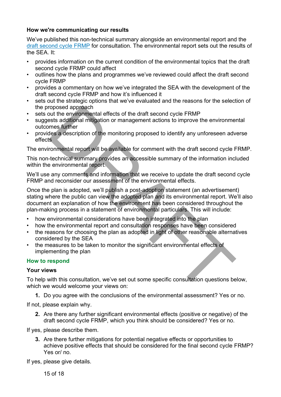#### **How we're communicating our results**

We've published this non-technical summary alongside an environmental report and the [draft second cycle FRMP](https://eur03.safelinks.protection.outlook.com/?url=https%3A%2F%2Fconsult.environment-agency.gov.uk%2Ffcrm%2Fdraft-second-cycle-flood-risk-management-plans&data=04%7C01%7CStephanie.Baldwin%40environment-agency.gov.uk%7Cc83b91996c1f4023fe1408d98e63162b%7C770a245002274c6290c74e38537f1102%7C0%7C0%7C637697378488303922%7CUnknown%7CTWFpbGZsb3d8eyJWIjoiMC4wLjAwMDAiLCJQIjoiV2luMzIiLCJBTiI6Ik1haWwiLCJXVCI6Mn0%3D%7C1000&sdata=BHhUquDK2oXgHs3ehkFH9KhS5GjkmoKw%2F3q58I1wPTI%3D&reserved=0) for consultation. The environmental report sets out the results of the SEA. It:

- provides information on the current condition of the environmental topics that the draft second cycle FRMP could affect
- outlines how the plans and programmes we've reviewed could affect the draft second cycle FRMP
- provides a commentary on how we've integrated the SEA with the development of the draft second cycle FRMP and how it's influenced it
- sets out the strategic options that we've evaluated and the reasons for the selection of the proposed approach
- sets out the environmental effects of the draft second cycle FRMP
- suggests additional mitigation or management actions to improve the environmental outcomes further
- provides a description of the monitoring proposed to identify any unforeseen adverse effects

The environmental report will be available for comment with the draft second cycle FRMP.

This non-technical summary provides an accessible summary of the information included within the environmental report.

We'll use any comments and information that we receive to update the draft second cycle FRMP and reconsider our assessment of the environmental effects.

Once the plan is adopted, we'll publish a post-adoption statement (an advertisement) stating where the public can view the adopted plan and its environmental report. We'll also document an explanation of how the environment has been considered throughout the plan-making process in a statement of environmental particulars. This will include: roposed approach<br>out the environmental effects of the draft second cycle FRMP<br>sust additional mitigation or management actions to improve the environment<br>enses a description of the monitoring proposed to identify any unfor

- how environmental considerations have been integrated into the plan
- how the environmental report and consultation responses have been considered
- the reasons for choosing the plan as adopted in light of other reasonable alternatives considered by the SEA
- the measures to be taken to monitor the significant environmental effects of implementing the plan

# **How to respond**

#### **Your views**

To help with this consultation, we've set out some specific consultation questions below, which we would welcome your views on:

**1.** Do you agree with the conclusions of the environmental assessment? Yes or no.

If not, please explain why.

**2.** Are there any further significant environmental effects (positive or negative) of the draft second cycle FRMP, which you think should be considered? Yes or no.

If yes, please describe them.

**3.** Are there further mitigations for potential negative effects or opportunities to achieve positive effects that should be considered for the final second cycle FRMP? Yes or/ no.

If yes, please give details.

15 of 18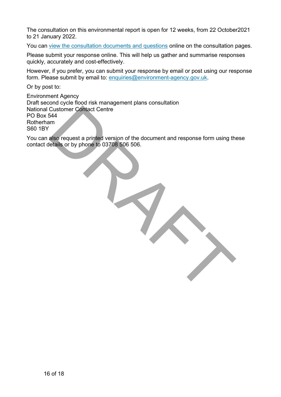The consultation on this environmental report is open for 12 weeks, from 22 October2021 to 21 January 2022.

You can [view the consultation documents and questions](https://consult.environment-agency.gov.uk/fcrm/draft-second-cycle-flood-risk-management-plans) online on the consultation pages.

Please submit your response online. This will help us gather and summarise responses quickly, accurately and cost-effectively.

However, if you prefer, you can submit your response by email or post using our response form. Please submit by email to: [enquiries@environment-agency.gov.uk.](mailto:enquiries@environment-agency.gov.uk)

Or by post to:

Environment Agency Draft second cycle flood risk management plans consultation National Customer Contact Centre PO Box 544 Rotherham S60 1BY Customer Contact Centre<br>
also request a printed version of the document and response form using the<br>
details or by phone to 03708 506 506.<br>
Also request a printed version of the document and response form using the<br>
DRAFT

You can also request a printed version of the document and response form using these contact details or by phone to 03708 506 506.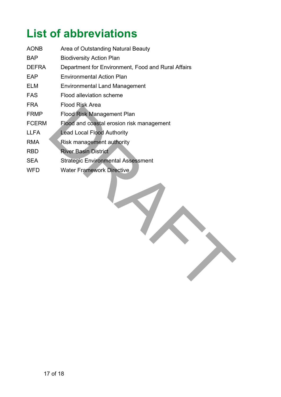# **List of abbreviations**

| <b>AONB</b>  | Area of Outstanding Natural Beauty                 |
|--------------|----------------------------------------------------|
| BAP          | <b>Biodiversity Action Plan</b>                    |
| <b>DEFRA</b> | Department for Environment, Food and Rural Affairs |
| EAP          | <b>Environmental Action Plan</b>                   |
| ELM          | Environmental Land Management                      |
| <b>FAS</b>   | Flood alleviation scheme                           |
| FRA.         | Flood Risk Area                                    |
| <b>FRMP</b>  | <b>Flood Risk Management Plan</b>                  |
| <b>FCERM</b> | Flood and coastal erosion risk management          |
| <b>LLFA</b>  | Lead Local Flood Authority                         |
| <b>RMA</b>   | Risk management authority                          |
| <b>RBD</b>   | <b>River Basin District</b>                        |
| <b>SEA</b>   | <b>Strategic Environmental Assessment</b>          |
| WFD          | <b>Water Framework Directive</b>                   |

Flood Risk Management Plan<br>Flood Risk Management Plan<br>Flood Risk Management authority<br>Risk management authority<br>Risk management authority<br>River Basin District<br>Strategic Environmental Assessment<br>Water Framework Directive